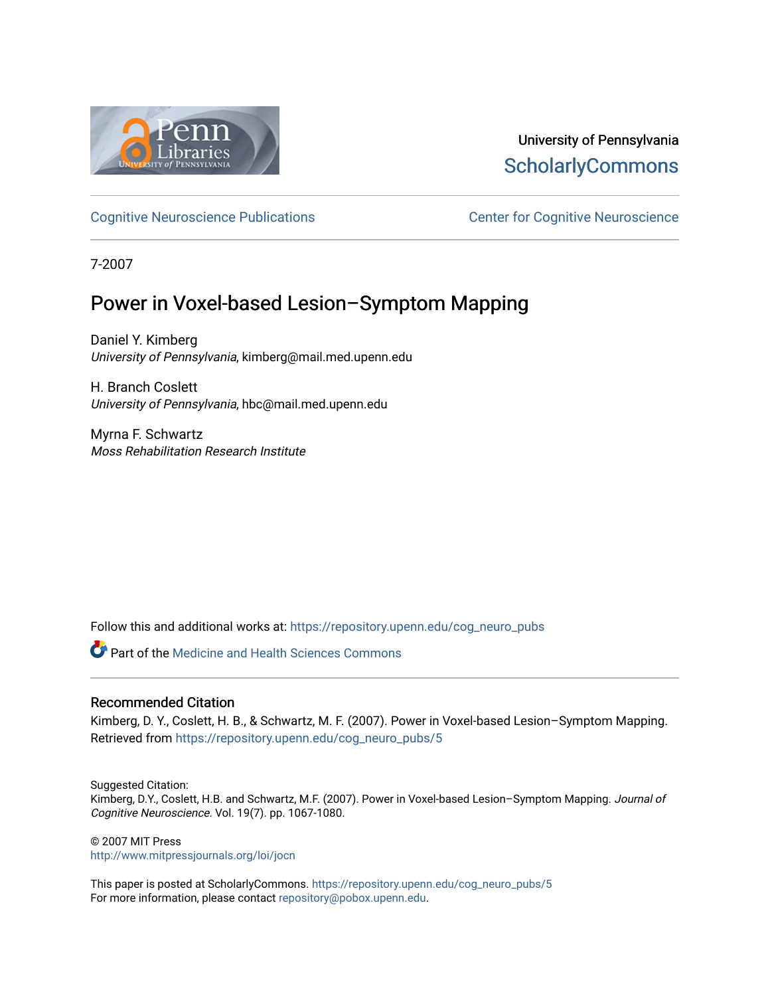

# University of Pennsylvania **ScholarlyCommons**

[Cognitive Neuroscience Publications](https://repository.upenn.edu/cog_neuro_pubs) **CENTE:** Center for Cognitive Neuroscience

7-2007

# Power in Voxel-based Lesion–Symptom Mapping

Daniel Y. Kimberg University of Pennsylvania, kimberg@mail.med.upenn.edu

H. Branch Coslett University of Pennsylvania, hbc@mail.med.upenn.edu

Myrna F. Schwartz Moss Rehabilitation Research Institute

Follow this and additional works at: [https://repository.upenn.edu/cog\\_neuro\\_pubs](https://repository.upenn.edu/cog_neuro_pubs?utm_source=repository.upenn.edu%2Fcog_neuro_pubs%2F5&utm_medium=PDF&utm_campaign=PDFCoverPages)

Part of the [Medicine and Health Sciences Commons](http://network.bepress.com/hgg/discipline/648?utm_source=repository.upenn.edu%2Fcog_neuro_pubs%2F5&utm_medium=PDF&utm_campaign=PDFCoverPages) 

## Recommended Citation

Kimberg, D. Y., Coslett, H. B., & Schwartz, M. F. (2007). Power in Voxel-based Lesion–Symptom Mapping. Retrieved from [https://repository.upenn.edu/cog\\_neuro\\_pubs/5](https://repository.upenn.edu/cog_neuro_pubs/5?utm_source=repository.upenn.edu%2Fcog_neuro_pubs%2F5&utm_medium=PDF&utm_campaign=PDFCoverPages) 

Suggested Citation: Kimberg, D.Y., Coslett, H.B. and Schwartz, M.F. (2007). Power in Voxel-based Lesion–Symptom Mapping. Journal of Cognitive Neuroscience. Vol. 19(7). pp. 1067-1080.

© 2007 MIT Press <http://www.mitpressjournals.org/loi/jocn>

This paper is posted at ScholarlyCommons. [https://repository.upenn.edu/cog\\_neuro\\_pubs/5](https://repository.upenn.edu/cog_neuro_pubs/5) For more information, please contact [repository@pobox.upenn.edu.](mailto:repository@pobox.upenn.edu)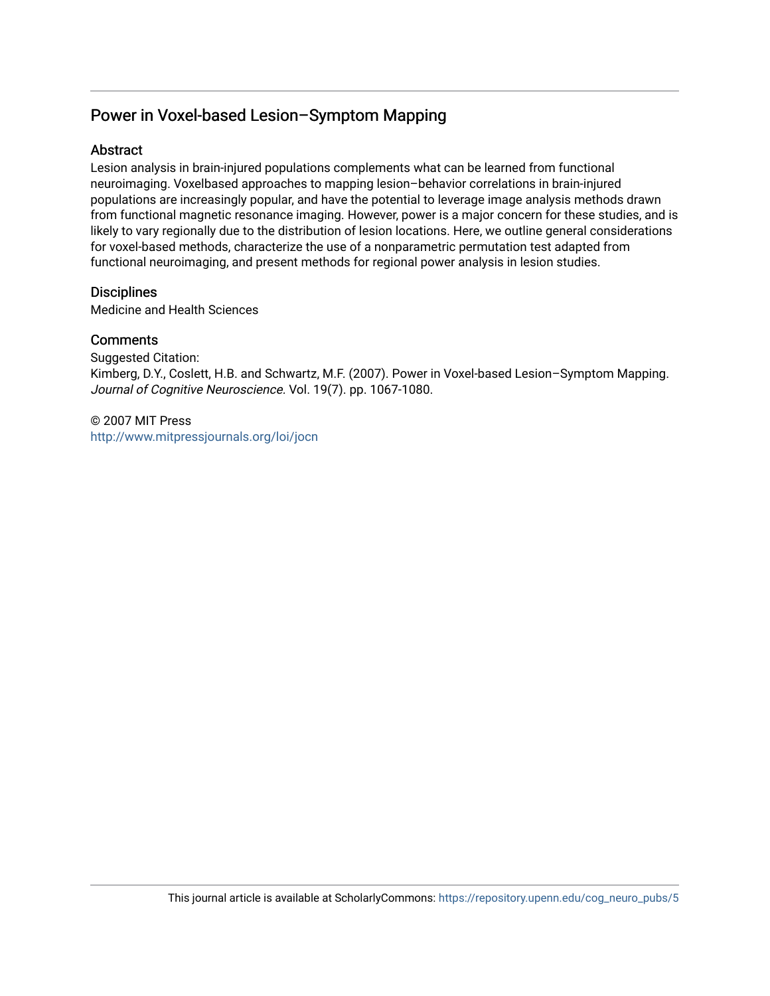## Power in Voxel-based Lesion–Symptom Mapping

## **Abstract**

Lesion analysis in brain-injured populations complements what can be learned from functional neuroimaging. Voxelbased approaches to mapping lesion–behavior correlations in brain-injured populations are increasingly popular, and have the potential to leverage image analysis methods drawn from functional magnetic resonance imaging. However, power is a major concern for these studies, and is likely to vary regionally due to the distribution of lesion locations. Here, we outline general considerations for voxel-based methods, characterize the use of a nonparametric permutation test adapted from functional neuroimaging, and present methods for regional power analysis in lesion studies.

## **Disciplines**

Medicine and Health Sciences

## **Comments**

Suggested Citation: Kimberg, D.Y., Coslett, H.B. and Schwartz, M.F. (2007). Power in Voxel-based Lesion–Symptom Mapping. Journal of Cognitive Neuroscience. Vol. 19(7). pp. 1067-1080.

© 2007 MIT Press <http://www.mitpressjournals.org/loi/jocn>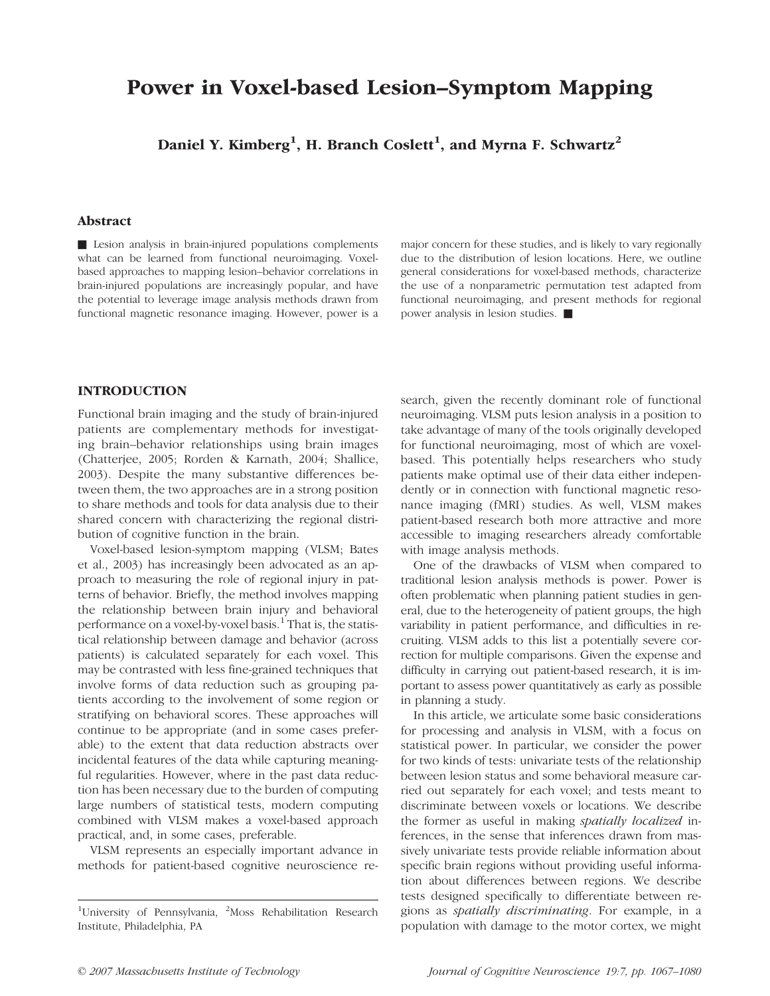## Power in Voxel-based Lesion–Symptom Mapping

Daniel Y. Kimberg<sup>1</sup>, H. Branch Coslett<sup>1</sup>, and Myrna F. Schwartz<sup>2</sup>

## Abstract

■ Lesion analysis in brain-injured populations complements what can be learned from functional neuroimaging. Voxelbased approaches to mapping lesion–behavior correlations in brain-injured populations are increasingly popular, and have the potential to leverage image analysis methods drawn from functional magnetic resonance imaging. However, power is a major concern for these studies, and is likely to vary regionally due to the distribution of lesion locations. Here, we outline general considerations for voxel-based methods, characterize the use of a nonparametric permutation test adapted from functional neuroimaging, and present methods for regional power analysis in lesion studies.  $\blacksquare$ 

### INTRODUCTION

Functional brain imaging and the study of brain-injured patients are complementary methods for investigating brain–behavior relationships using brain images (Chatterjee, 2005; Rorden & Karnath, 2004; Shallice, 2003). Despite the many substantive differences between them, the two approaches are in a strong position to share methods and tools for data analysis due to their shared concern with characterizing the regional distribution of cognitive function in the brain.

Voxel-based lesion-symptom mapping (VLSM; Bates et al., 2003) has increasingly been advocated as an approach to measuring the role of regional injury in patterns of behavior. Briefly, the method involves mapping the relationship between brain injury and behavioral performance on a voxel-by-voxel basis.<sup>1</sup> That is, the statistical relationship between damage and behavior (across patients) is calculated separately for each voxel. This may be contrasted with less fine-grained techniques that involve forms of data reduction such as grouping patients according to the involvement of some region or stratifying on behavioral scores. These approaches will continue to be appropriate (and in some cases preferable) to the extent that data reduction abstracts over incidental features of the data while capturing meaningful regularities. However, where in the past data reduction has been necessary due to the burden of computing large numbers of statistical tests, modern computing combined with VLSM makes a voxel-based approach practical, and, in some cases, preferable.

VLSM represents an especially important advance in methods for patient-based cognitive neuroscience research, given the recently dominant role of functional neuroimaging. VLSM puts lesion analysis in a position to take advantage of many of the tools originally developed for functional neuroimaging, most of which are voxelbased. This potentially helps researchers who study patients make optimal use of their data either independently or in connection with functional magnetic resonance imaging (fMRI) studies. As well, VLSM makes patient-based research both more attractive and more accessible to imaging researchers already comfortable with image analysis methods.

One of the drawbacks of VLSM when compared to traditional lesion analysis methods is power. Power is often problematic when planning patient studies in general, due to the heterogeneity of patient groups, the high variability in patient performance, and difficulties in recruiting. VLSM adds to this list a potentially severe correction for multiple comparisons. Given the expense and difficulty in carrying out patient-based research, it is important to assess power quantitatively as early as possible in planning a study.

In this article, we articulate some basic considerations for processing and analysis in VLSM, with a focus on statistical power. In particular, we consider the power for two kinds of tests: univariate tests of the relationship between lesion status and some behavioral measure carried out separately for each voxel; and tests meant to discriminate between voxels or locations. We describe the former as useful in making spatially localized inferences, in the sense that inferences drawn from massively univariate tests provide reliable information about specific brain regions without providing useful information about differences between regions. We describe tests designed specifically to differentiate between regions as spatially discriminating. For example, in a population with damage to the motor cortex, we might

<sup>&</sup>lt;sup>1</sup>University of Pennsylvania, <sup>2</sup>Moss Rehabilitation Research Institute, Philadelphia, PA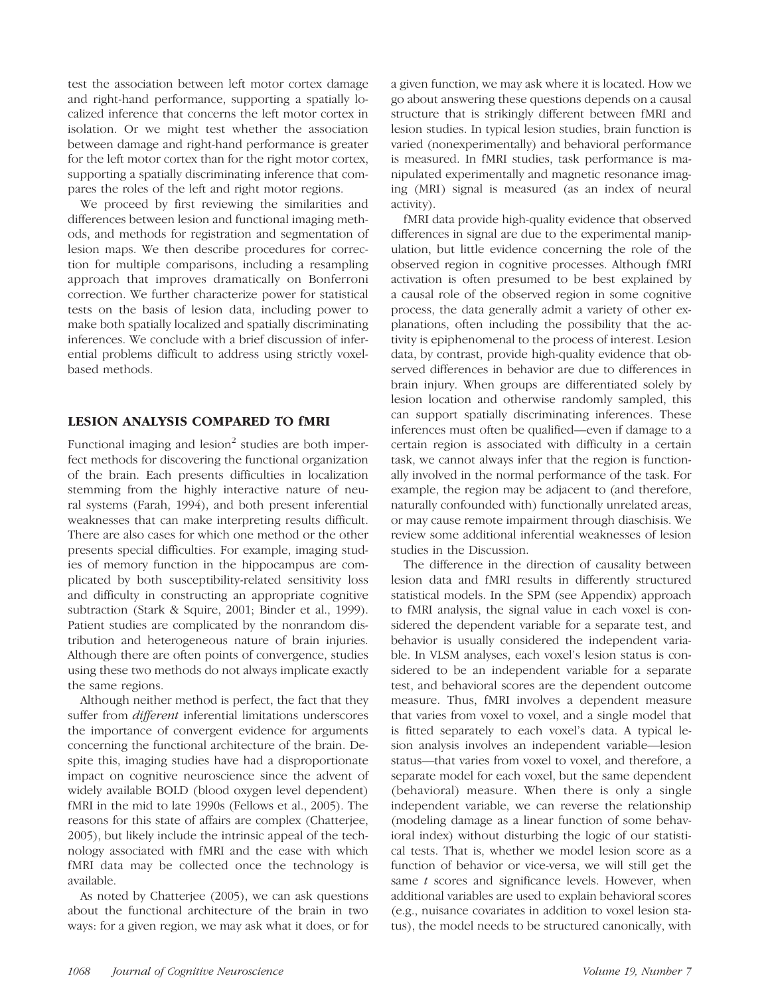test the association between left motor cortex damage and right-hand performance, supporting a spatially localized inference that concerns the left motor cortex in isolation. Or we might test whether the association between damage and right-hand performance is greater for the left motor cortex than for the right motor cortex, supporting a spatially discriminating inference that compares the roles of the left and right motor regions.

We proceed by first reviewing the similarities and differences between lesion and functional imaging methods, and methods for registration and segmentation of lesion maps. We then describe procedures for correction for multiple comparisons, including a resampling approach that improves dramatically on Bonferroni correction. We further characterize power for statistical tests on the basis of lesion data, including power to make both spatially localized and spatially discriminating inferences. We conclude with a brief discussion of inferential problems difficult to address using strictly voxelbased methods.

## LESION ANALYSIS COMPARED TO fMRI

Functional imaging and  $l_{es}$  studies are both imperfect methods for discovering the functional organization of the brain. Each presents difficulties in localization stemming from the highly interactive nature of neural systems (Farah, 1994), and both present inferential weaknesses that can make interpreting results difficult. There are also cases for which one method or the other presents special difficulties. For example, imaging studies of memory function in the hippocampus are complicated by both susceptibility-related sensitivity loss and difficulty in constructing an appropriate cognitive subtraction (Stark & Squire, 2001; Binder et al., 1999). Patient studies are complicated by the nonrandom distribution and heterogeneous nature of brain injuries. Although there are often points of convergence, studies using these two methods do not always implicate exactly the same regions.

Although neither method is perfect, the fact that they suffer from *different* inferential limitations underscores the importance of convergent evidence for arguments concerning the functional architecture of the brain. Despite this, imaging studies have had a disproportionate impact on cognitive neuroscience since the advent of widely available BOLD (blood oxygen level dependent) fMRI in the mid to late 1990s (Fellows et al., 2005). The reasons for this state of affairs are complex (Chatterjee, 2005), but likely include the intrinsic appeal of the technology associated with fMRI and the ease with which fMRI data may be collected once the technology is available.

As noted by Chatterjee (2005), we can ask questions about the functional architecture of the brain in two ways: for a given region, we may ask what it does, or for a given function, we may ask where it is located. How we go about answering these questions depends on a causal structure that is strikingly different between fMRI and lesion studies. In typical lesion studies, brain function is varied (nonexperimentally) and behavioral performance is measured. In fMRI studies, task performance is manipulated experimentally and magnetic resonance imaging (MRI) signal is measured (as an index of neural activity).

fMRI data provide high-quality evidence that observed differences in signal are due to the experimental manipulation, but little evidence concerning the role of the observed region in cognitive processes. Although fMRI activation is often presumed to be best explained by a causal role of the observed region in some cognitive process, the data generally admit a variety of other explanations, often including the possibility that the activity is epiphenomenal to the process of interest. Lesion data, by contrast, provide high-quality evidence that observed differences in behavior are due to differences in brain injury. When groups are differentiated solely by lesion location and otherwise randomly sampled, this can support spatially discriminating inferences. These inferences must often be qualified—even if damage to a certain region is associated with difficulty in a certain task, we cannot always infer that the region is functionally involved in the normal performance of the task. For example, the region may be adjacent to (and therefore, naturally confounded with) functionally unrelated areas, or may cause remote impairment through diaschisis. We review some additional inferential weaknesses of lesion studies in the Discussion.

The difference in the direction of causality between lesion data and fMRI results in differently structured statistical models. In the SPM (see Appendix) approach to fMRI analysis, the signal value in each voxel is considered the dependent variable for a separate test, and behavior is usually considered the independent variable. In VLSM analyses, each voxel's lesion status is considered to be an independent variable for a separate test, and behavioral scores are the dependent outcome measure. Thus, fMRI involves a dependent measure that varies from voxel to voxel, and a single model that is fitted separately to each voxel's data. A typical lesion analysis involves an independent variable—lesion status—that varies from voxel to voxel, and therefore, a separate model for each voxel, but the same dependent (behavioral) measure. When there is only a single independent variable, we can reverse the relationship (modeling damage as a linear function of some behavioral index) without disturbing the logic of our statistical tests. That is, whether we model lesion score as a function of behavior or vice-versa, we will still get the same  $t$  scores and significance levels. However, when additional variables are used to explain behavioral scores (e.g., nuisance covariates in addition to voxel lesion status), the model needs to be structured canonically, with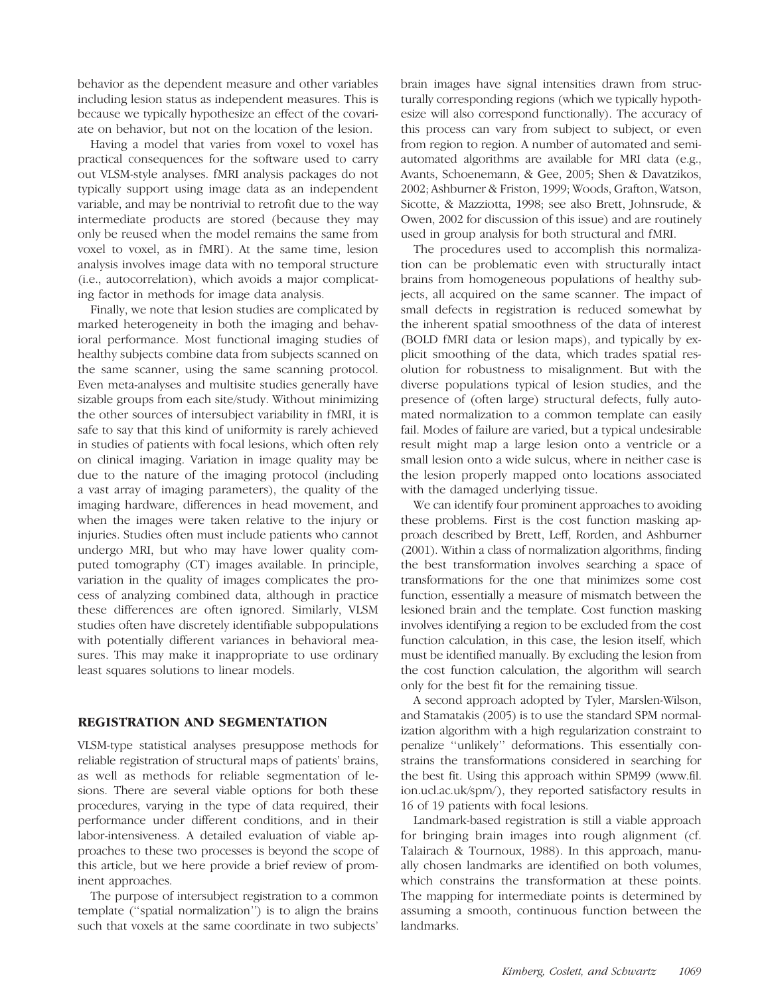behavior as the dependent measure and other variables including lesion status as independent measures. This is because we typically hypothesize an effect of the covariate on behavior, but not on the location of the lesion.

Having a model that varies from voxel to voxel has practical consequences for the software used to carry out VLSM-style analyses. fMRI analysis packages do not typically support using image data as an independent variable, and may be nontrivial to retrofit due to the way intermediate products are stored (because they may only be reused when the model remains the same from voxel to voxel, as in fMRI). At the same time, lesion analysis involves image data with no temporal structure (i.e., autocorrelation), which avoids a major complicating factor in methods for image data analysis.

Finally, we note that lesion studies are complicated by marked heterogeneity in both the imaging and behavioral performance. Most functional imaging studies of healthy subjects combine data from subjects scanned on the same scanner, using the same scanning protocol. Even meta-analyses and multisite studies generally have sizable groups from each site/study. Without minimizing the other sources of intersubject variability in fMRI, it is safe to say that this kind of uniformity is rarely achieved in studies of patients with focal lesions, which often rely on clinical imaging. Variation in image quality may be due to the nature of the imaging protocol (including a vast array of imaging parameters), the quality of the imaging hardware, differences in head movement, and when the images were taken relative to the injury or injuries. Studies often must include patients who cannot undergo MRI, but who may have lower quality computed tomography (CT) images available. In principle, variation in the quality of images complicates the process of analyzing combined data, although in practice these differences are often ignored. Similarly, VLSM studies often have discretely identifiable subpopulations with potentially different variances in behavioral measures. This may make it inappropriate to use ordinary least squares solutions to linear models.

## REGISTRATION AND SEGMENTATION

VLSM-type statistical analyses presuppose methods for reliable registration of structural maps of patients' brains, as well as methods for reliable segmentation of lesions. There are several viable options for both these procedures, varying in the type of data required, their performance under different conditions, and in their labor-intensiveness. A detailed evaluation of viable approaches to these two processes is beyond the scope of this article, but we here provide a brief review of prominent approaches.

The purpose of intersubject registration to a common template (''spatial normalization'') is to align the brains such that voxels at the same coordinate in two subjects'

brain images have signal intensities drawn from structurally corresponding regions (which we typically hypothesize will also correspond functionally). The accuracy of this process can vary from subject to subject, or even from region to region. A number of automated and semiautomated algorithms are available for MRI data (e.g., Avants, Schoenemann, & Gee, 2005; Shen & Davatzikos, 2002; Ashburner & Friston, 1999; Woods, Grafton, Watson, Sicotte, & Mazziotta, 1998; see also Brett, Johnsrude, & Owen, 2002 for discussion of this issue) and are routinely used in group analysis for both structural and fMRI.

The procedures used to accomplish this normalization can be problematic even with structurally intact brains from homogeneous populations of healthy subjects, all acquired on the same scanner. The impact of small defects in registration is reduced somewhat by the inherent spatial smoothness of the data of interest (BOLD fMRI data or lesion maps), and typically by explicit smoothing of the data, which trades spatial resolution for robustness to misalignment. But with the diverse populations typical of lesion studies, and the presence of (often large) structural defects, fully automated normalization to a common template can easily fail. Modes of failure are varied, but a typical undesirable result might map a large lesion onto a ventricle or a small lesion onto a wide sulcus, where in neither case is the lesion properly mapped onto locations associated with the damaged underlying tissue.

We can identify four prominent approaches to avoiding these problems. First is the cost function masking approach described by Brett, Leff, Rorden, and Ashburner (2001). Within a class of normalization algorithms, finding the best transformation involves searching a space of transformations for the one that minimizes some cost function, essentially a measure of mismatch between the lesioned brain and the template. Cost function masking involves identifying a region to be excluded from the cost function calculation, in this case, the lesion itself, which must be identified manually. By excluding the lesion from the cost function calculation, the algorithm will search only for the best fit for the remaining tissue.

A second approach adopted by Tyler, Marslen-Wilson, and Stamatakis (2005) is to use the standard SPM normalization algorithm with a high regularization constraint to penalize ''unlikely'' deformations. This essentially constrains the transformations considered in searching for the best fit. Using this approach within SPM99 (www.fil. ion.ucl.ac.uk/spm/), they reported satisfactory results in 16 of 19 patients with focal lesions.

Landmark-based registration is still a viable approach for bringing brain images into rough alignment (cf. Talairach & Tournoux, 1988). In this approach, manually chosen landmarks are identified on both volumes, which constrains the transformation at these points. The mapping for intermediate points is determined by assuming a smooth, continuous function between the landmarks.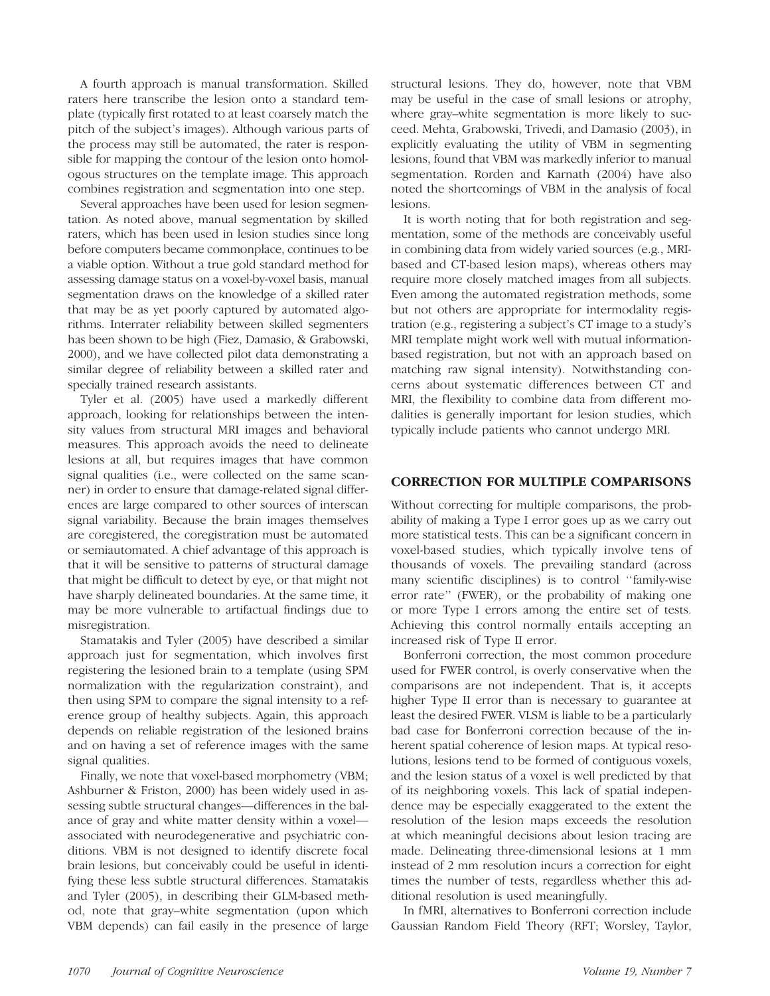A fourth approach is manual transformation. Skilled raters here transcribe the lesion onto a standard template (typically first rotated to at least coarsely match the pitch of the subject's images). Although various parts of the process may still be automated, the rater is responsible for mapping the contour of the lesion onto homologous structures on the template image. This approach combines registration and segmentation into one step.

Several approaches have been used for lesion segmentation. As noted above, manual segmentation by skilled raters, which has been used in lesion studies since long before computers became commonplace, continues to be a viable option. Without a true gold standard method for assessing damage status on a voxel-by-voxel basis, manual segmentation draws on the knowledge of a skilled rater that may be as yet poorly captured by automated algorithms. Interrater reliability between skilled segmenters has been shown to be high (Fiez, Damasio, & Grabowski, 2000), and we have collected pilot data demonstrating a similar degree of reliability between a skilled rater and specially trained research assistants.

Tyler et al. (2005) have used a markedly different approach, looking for relationships between the intensity values from structural MRI images and behavioral measures. This approach avoids the need to delineate lesions at all, but requires images that have common signal qualities (i.e., were collected on the same scanner) in order to ensure that damage-related signal differences are large compared to other sources of interscan signal variability. Because the brain images themselves are coregistered, the coregistration must be automated or semiautomated. A chief advantage of this approach is that it will be sensitive to patterns of structural damage that might be difficult to detect by eye, or that might not have sharply delineated boundaries. At the same time, it may be more vulnerable to artifactual findings due to misregistration.

Stamatakis and Tyler (2005) have described a similar approach just for segmentation, which involves first registering the lesioned brain to a template (using SPM normalization with the regularization constraint), and then using SPM to compare the signal intensity to a reference group of healthy subjects. Again, this approach depends on reliable registration of the lesioned brains and on having a set of reference images with the same signal qualities.

Finally, we note that voxel-based morphometry (VBM; Ashburner & Friston, 2000) has been widely used in assessing subtle structural changes—differences in the balance of gray and white matter density within a voxel associated with neurodegenerative and psychiatric conditions. VBM is not designed to identify discrete focal brain lesions, but conceivably could be useful in identifying these less subtle structural differences. Stamatakis and Tyler (2005), in describing their GLM-based method, note that gray–white segmentation (upon which VBM depends) can fail easily in the presence of large

structural lesions. They do, however, note that VBM may be useful in the case of small lesions or atrophy, where gray–white segmentation is more likely to succeed. Mehta, Grabowski, Trivedi, and Damasio (2003), in explicitly evaluating the utility of VBM in segmenting lesions, found that VBM was markedly inferior to manual segmentation. Rorden and Karnath (2004) have also noted the shortcomings of VBM in the analysis of focal lesions.

It is worth noting that for both registration and segmentation, some of the methods are conceivably useful in combining data from widely varied sources (e.g., MRIbased and CT-based lesion maps), whereas others may require more closely matched images from all subjects. Even among the automated registration methods, some but not others are appropriate for intermodality registration (e.g., registering a subject's CT image to a study's MRI template might work well with mutual informationbased registration, but not with an approach based on matching raw signal intensity). Notwithstanding concerns about systematic differences between CT and MRI, the flexibility to combine data from different modalities is generally important for lesion studies, which typically include patients who cannot undergo MRI.

## CORRECTION FOR MULTIPLE COMPARISONS

Without correcting for multiple comparisons, the probability of making a Type I error goes up as we carry out more statistical tests. This can be a significant concern in voxel-based studies, which typically involve tens of thousands of voxels. The prevailing standard (across many scientific disciplines) is to control ''family-wise error rate'' (FWER), or the probability of making one or more Type I errors among the entire set of tests. Achieving this control normally entails accepting an increased risk of Type II error.

Bonferroni correction, the most common procedure used for FWER control, is overly conservative when the comparisons are not independent. That is, it accepts higher Type II error than is necessary to guarantee at least the desired FWER. VLSM is liable to be a particularly bad case for Bonferroni correction because of the inherent spatial coherence of lesion maps. At typical resolutions, lesions tend to be formed of contiguous voxels, and the lesion status of a voxel is well predicted by that of its neighboring voxels. This lack of spatial independence may be especially exaggerated to the extent the resolution of the lesion maps exceeds the resolution at which meaningful decisions about lesion tracing are made. Delineating three-dimensional lesions at 1 mm instead of 2 mm resolution incurs a correction for eight times the number of tests, regardless whether this additional resolution is used meaningfully.

In fMRI, alternatives to Bonferroni correction include Gaussian Random Field Theory (RFT; Worsley, Taylor,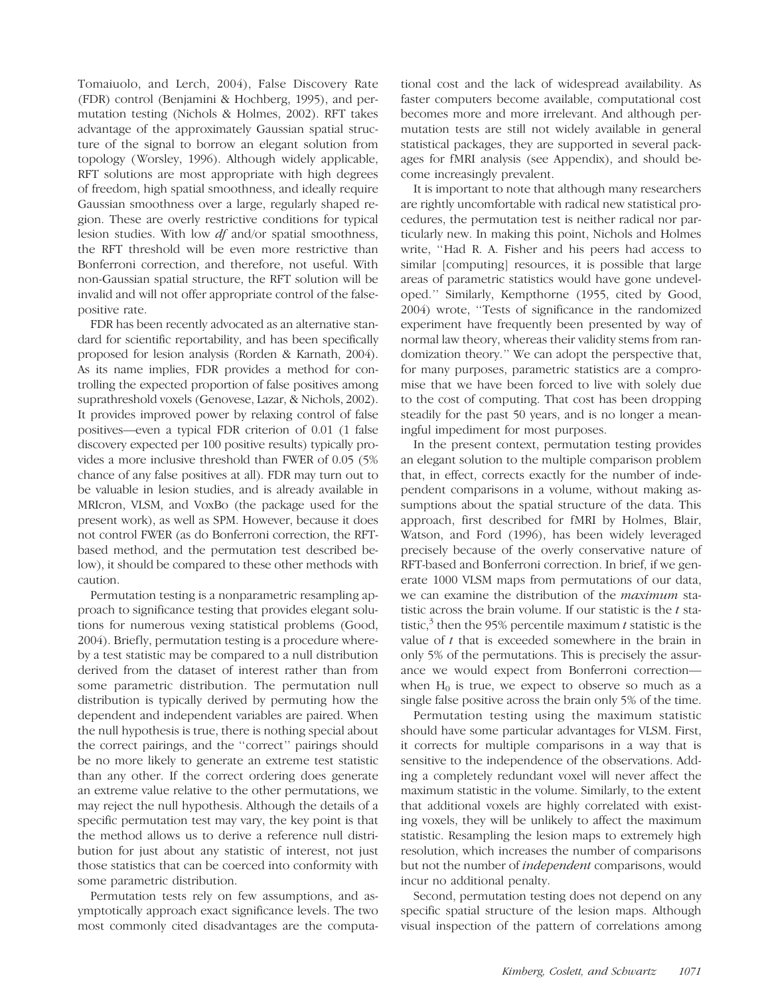Tomaiuolo, and Lerch, 2004), False Discovery Rate (FDR) control (Benjamini & Hochberg, 1995), and permutation testing (Nichols & Holmes, 2002). RFT takes advantage of the approximately Gaussian spatial structure of the signal to borrow an elegant solution from topology (Worsley, 1996). Although widely applicable, RFT solutions are most appropriate with high degrees of freedom, high spatial smoothness, and ideally require Gaussian smoothness over a large, regularly shaped region. These are overly restrictive conditions for typical lesion studies. With low df and/or spatial smoothness, the RFT threshold will be even more restrictive than Bonferroni correction, and therefore, not useful. With non-Gaussian spatial structure, the RFT solution will be invalid and will not offer appropriate control of the falsepositive rate.

FDR has been recently advocated as an alternative standard for scientific reportability, and has been specifically proposed for lesion analysis (Rorden & Karnath, 2004). As its name implies, FDR provides a method for controlling the expected proportion of false positives among suprathreshold voxels (Genovese, Lazar, & Nichols, 2002). It provides improved power by relaxing control of false positives—even a typical FDR criterion of 0.01 (1 false discovery expected per 100 positive results) typically provides a more inclusive threshold than FWER of 0.05 (5% chance of any false positives at all). FDR may turn out to be valuable in lesion studies, and is already available in MRIcron, VLSM, and VoxBo (the package used for the present work), as well as SPM. However, because it does not control FWER (as do Bonferroni correction, the RFTbased method, and the permutation test described below), it should be compared to these other methods with caution.

Permutation testing is a nonparametric resampling approach to significance testing that provides elegant solutions for numerous vexing statistical problems (Good, 2004). Briefly, permutation testing is a procedure whereby a test statistic may be compared to a null distribution derived from the dataset of interest rather than from some parametric distribution. The permutation null distribution is typically derived by permuting how the dependent and independent variables are paired. When the null hypothesis is true, there is nothing special about the correct pairings, and the ''correct'' pairings should be no more likely to generate an extreme test statistic than any other. If the correct ordering does generate an extreme value relative to the other permutations, we may reject the null hypothesis. Although the details of a specific permutation test may vary, the key point is that the method allows us to derive a reference null distribution for just about any statistic of interest, not just those statistics that can be coerced into conformity with some parametric distribution.

Permutation tests rely on few assumptions, and asymptotically approach exact significance levels. The two most commonly cited disadvantages are the computational cost and the lack of widespread availability. As faster computers become available, computational cost becomes more and more irrelevant. And although permutation tests are still not widely available in general statistical packages, they are supported in several packages for fMRI analysis (see Appendix), and should become increasingly prevalent.

It is important to note that although many researchers are rightly uncomfortable with radical new statistical procedures, the permutation test is neither radical nor particularly new. In making this point, Nichols and Holmes write, ''Had R. A. Fisher and his peers had access to similar [computing] resources, it is possible that large areas of parametric statistics would have gone undeveloped.'' Similarly, Kempthorne (1955, cited by Good, 2004) wrote, ''Tests of significance in the randomized experiment have frequently been presented by way of normal law theory, whereas their validity stems from randomization theory.'' We can adopt the perspective that, for many purposes, parametric statistics are a compromise that we have been forced to live with solely due to the cost of computing. That cost has been dropping steadily for the past 50 years, and is no longer a meaningful impediment for most purposes.

In the present context, permutation testing provides an elegant solution to the multiple comparison problem that, in effect, corrects exactly for the number of independent comparisons in a volume, without making assumptions about the spatial structure of the data. This approach, first described for fMRI by Holmes, Blair, Watson, and Ford (1996), has been widely leveraged precisely because of the overly conservative nature of RFT-based and Bonferroni correction. In brief, if we generate 1000 VLSM maps from permutations of our data, we can examine the distribution of the maximum statistic across the brain volume. If our statistic is the  $t$  statistic, $3$  then the 95% percentile maximum t statistic is the value of  $t$  that is exceeded somewhere in the brain in only 5% of the permutations. This is precisely the assurance we would expect from Bonferroni correction when  $H_0$  is true, we expect to observe so much as a single false positive across the brain only 5% of the time.

Permutation testing using the maximum statistic should have some particular advantages for VLSM. First, it corrects for multiple comparisons in a way that is sensitive to the independence of the observations. Adding a completely redundant voxel will never affect the maximum statistic in the volume. Similarly, to the extent that additional voxels are highly correlated with existing voxels, they will be unlikely to affect the maximum statistic. Resampling the lesion maps to extremely high resolution, which increases the number of comparisons but not the number of *independent* comparisons, would incur no additional penalty.

Second, permutation testing does not depend on any specific spatial structure of the lesion maps. Although visual inspection of the pattern of correlations among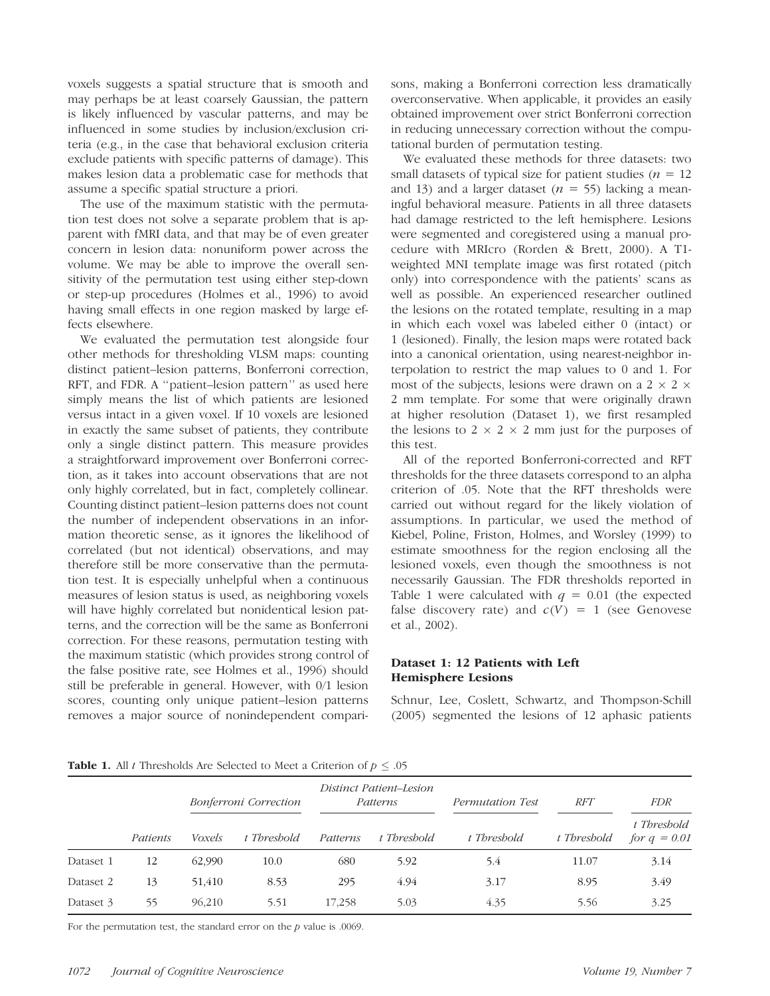voxels suggests a spatial structure that is smooth and may perhaps be at least coarsely Gaussian, the pattern is likely influenced by vascular patterns, and may be influenced in some studies by inclusion/exclusion criteria (e.g., in the case that behavioral exclusion criteria exclude patients with specific patterns of damage). This makes lesion data a problematic case for methods that assume a specific spatial structure a priori.

The use of the maximum statistic with the permutation test does not solve a separate problem that is apparent with fMRI data, and that may be of even greater concern in lesion data: nonuniform power across the volume. We may be able to improve the overall sensitivity of the permutation test using either step-down or step-up procedures (Holmes et al., 1996) to avoid having small effects in one region masked by large effects elsewhere.

We evaluated the permutation test alongside four other methods for thresholding VLSM maps: counting distinct patient–lesion patterns, Bonferroni correction, RFT, and FDR. A ''patient–lesion pattern'' as used here simply means the list of which patients are lesioned versus intact in a given voxel. If 10 voxels are lesioned in exactly the same subset of patients, they contribute only a single distinct pattern. This measure provides a straightforward improvement over Bonferroni correction, as it takes into account observations that are not only highly correlated, but in fact, completely collinear. Counting distinct patient–lesion patterns does not count the number of independent observations in an information theoretic sense, as it ignores the likelihood of correlated (but not identical) observations, and may therefore still be more conservative than the permutation test. It is especially unhelpful when a continuous measures of lesion status is used, as neighboring voxels will have highly correlated but nonidentical lesion patterns, and the correction will be the same as Bonferroni correction. For these reasons, permutation testing with the maximum statistic (which provides strong control of the false positive rate, see Holmes et al., 1996) should still be preferable in general. However, with 0/1 lesion scores, counting only unique patient–lesion patterns removes a major source of nonindependent comparisons, making a Bonferroni correction less dramatically overconservative. When applicable, it provides an easily obtained improvement over strict Bonferroni correction in reducing unnecessary correction without the computational burden of permutation testing.

We evaluated these methods for three datasets: two small datasets of typical size for patient studies ( $n = 12$ ) and 13) and a larger dataset ( $n = 55$ ) lacking a meaningful behavioral measure. Patients in all three datasets had damage restricted to the left hemisphere. Lesions were segmented and coregistered using a manual procedure with MRIcro (Rorden & Brett, 2000). A T1 weighted MNI template image was first rotated (pitch only) into correspondence with the patients' scans as well as possible. An experienced researcher outlined the lesions on the rotated template, resulting in a map in which each voxel was labeled either 0 (intact) or 1 (lesioned). Finally, the lesion maps were rotated back into a canonical orientation, using nearest-neighbor interpolation to restrict the map values to 0 and 1. For most of the subjects, lesions were drawn on a  $2 \times 2 \times$ 2 mm template. For some that were originally drawn at higher resolution (Dataset 1), we first resampled the lesions to  $2 \times 2 \times 2$  mm just for the purposes of this test.

All of the reported Bonferroni-corrected and RFT thresholds for the three datasets correspond to an alpha criterion of .05. Note that the RFT thresholds were carried out without regard for the likely violation of assumptions. In particular, we used the method of Kiebel, Poline, Friston, Holmes, and Worsley (1999) to estimate smoothness for the region enclosing all the lesioned voxels, even though the smoothness is not necessarily Gaussian. The FDR thresholds reported in Table 1 were calculated with  $q = 0.01$  (the expected false discovery rate) and  $c(V) = 1$  (see Genovese et al., 2002).

## Dataset 1: 12 Patients with Left Hemisphere Lesions

Schnur, Lee, Coslett, Schwartz, and Thompson-Schill (2005) segmented the lesions of 12 aphasic patients

**Table 1.** All t Thresholds Are Selected to Meet a Criterion of  $p \leq .05$ 

|           | Patients | Bonferroni Correction |             | Distinct Patient-Lesion<br>Patterns |             | <i>Permutation Test</i> | RFT         | <i>FDR</i>                    |
|-----------|----------|-----------------------|-------------|-------------------------------------|-------------|-------------------------|-------------|-------------------------------|
|           |          | Voxels                | t Threshold | Patterns                            | t Threshold | t Threshold             | t Threshold | t Threshold<br>for $q = 0.01$ |
| Dataset 1 | 12       | 62,990                | 10.0        | 680                                 | 5.92        | 5.4                     | 11.07       | 3.14                          |
| Dataset 2 | 13       | 51,410                | 8.53        | 295                                 | 4.94        | 3.17                    | 8.95        | 3.49                          |
| Dataset 3 | 55       | 96,210                | 5.51        | 17,258                              | 5.03        | 4.35                    | 5.56        | 3.25                          |

For the permutation test, the standard error on the  $p$  value is .0069.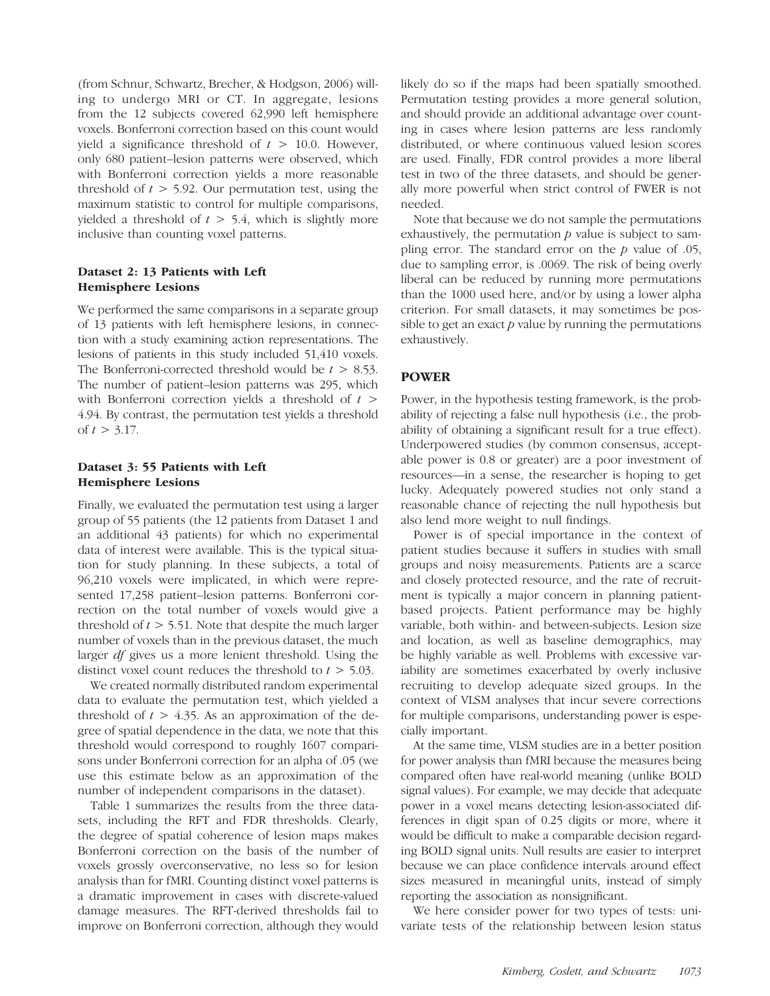(from Schnur, Schwartz, Brecher, & Hodgson, 2006) willing to undergo MRI or CT. In aggregate, lesions from the 12 subjects covered 62,990 left hemisphere voxels. Bonferroni correction based on this count would yield a significance threshold of  $t > 10.0$ . However, only 680 patient–lesion patterns were observed, which with Bonferroni correction yields a more reasonable threshold of  $t > 5.92$ . Our permutation test, using the maximum statistic to control for multiple comparisons, yielded a threshold of  $t > 5.4$ , which is slightly more inclusive than counting voxel patterns.

## Dataset 2: 13 Patients with Left Hemisphere Lesions

We performed the same comparisons in a separate group of 13 patients with left hemisphere lesions, in connection with a study examining action representations. The lesions of patients in this study included 51,410 voxels. The Bonferroni-corrected threshold would be  $t > 8.53$ . The number of patient–lesion patterns was 295, which with Bonferroni correction yields a threshold of  $t >$ 4.94. By contrast, the permutation test yields a threshold of  $t > 3.17$ .

## Dataset 3: 55 Patients with Left Hemisphere Lesions

Finally, we evaluated the permutation test using a larger group of 55 patients (the 12 patients from Dataset 1 and an additional 43 patients) for which no experimental data of interest were available. This is the typical situation for study planning. In these subjects, a total of 96,210 voxels were implicated, in which were represented 17,258 patient–lesion patterns. Bonferroni correction on the total number of voxels would give a threshold of  $t > 5.51$ . Note that despite the much larger number of voxels than in the previous dataset, the much larger df gives us a more lenient threshold. Using the distinct voxel count reduces the threshold to  $t > 5.03$ .

We created normally distributed random experimental data to evaluate the permutation test, which yielded a threshold of  $t > 4.35$ . As an approximation of the degree of spatial dependence in the data, we note that this threshold would correspond to roughly 1607 comparisons under Bonferroni correction for an alpha of .05 (we use this estimate below as an approximation of the number of independent comparisons in the dataset).

Table 1 summarizes the results from the three datasets, including the RFT and FDR thresholds. Clearly, the degree of spatial coherence of lesion maps makes Bonferroni correction on the basis of the number of voxels grossly overconservative, no less so for lesion analysis than for fMRI. Counting distinct voxel patterns is a dramatic improvement in cases with discrete-valued damage measures. The RFT-derived thresholds fail to improve on Bonferroni correction, although they would likely do so if the maps had been spatially smoothed. Permutation testing provides a more general solution, and should provide an additional advantage over counting in cases where lesion patterns are less randomly distributed, or where continuous valued lesion scores are used. Finally, FDR control provides a more liberal test in two of the three datasets, and should be generally more powerful when strict control of FWER is not needed.

Note that because we do not sample the permutations exhaustively, the permutation  $p$  value is subject to sampling error. The standard error on the  $p$  value of .05, due to sampling error, is .0069. The risk of being overly liberal can be reduced by running more permutations than the 1000 used here, and/or by using a lower alpha criterion. For small datasets, it may sometimes be possible to get an exact  $p$  value by running the permutations exhaustively.

## POWER

Power, in the hypothesis testing framework, is the probability of rejecting a false null hypothesis (i.e., the probability of obtaining a significant result for a true effect). Underpowered studies (by common consensus, acceptable power is 0.8 or greater) are a poor investment of resources—in a sense, the researcher is hoping to get lucky. Adequately powered studies not only stand a reasonable chance of rejecting the null hypothesis but also lend more weight to null findings.

Power is of special importance in the context of patient studies because it suffers in studies with small groups and noisy measurements. Patients are a scarce and closely protected resource, and the rate of recruitment is typically a major concern in planning patientbased projects. Patient performance may be highly variable, both within- and between-subjects. Lesion size and location, as well as baseline demographics, may be highly variable as well. Problems with excessive variability are sometimes exacerbated by overly inclusive recruiting to develop adequate sized groups. In the context of VLSM analyses that incur severe corrections for multiple comparisons, understanding power is especially important.

At the same time, VLSM studies are in a better position for power analysis than fMRI because the measures being compared often have real-world meaning (unlike BOLD signal values). For example, we may decide that adequate power in a voxel means detecting lesion-associated differences in digit span of 0.25 digits or more, where it would be difficult to make a comparable decision regarding BOLD signal units. Null results are easier to interpret because we can place confidence intervals around effect sizes measured in meaningful units, instead of simply reporting the association as nonsignificant.

We here consider power for two types of tests: univariate tests of the relationship between lesion status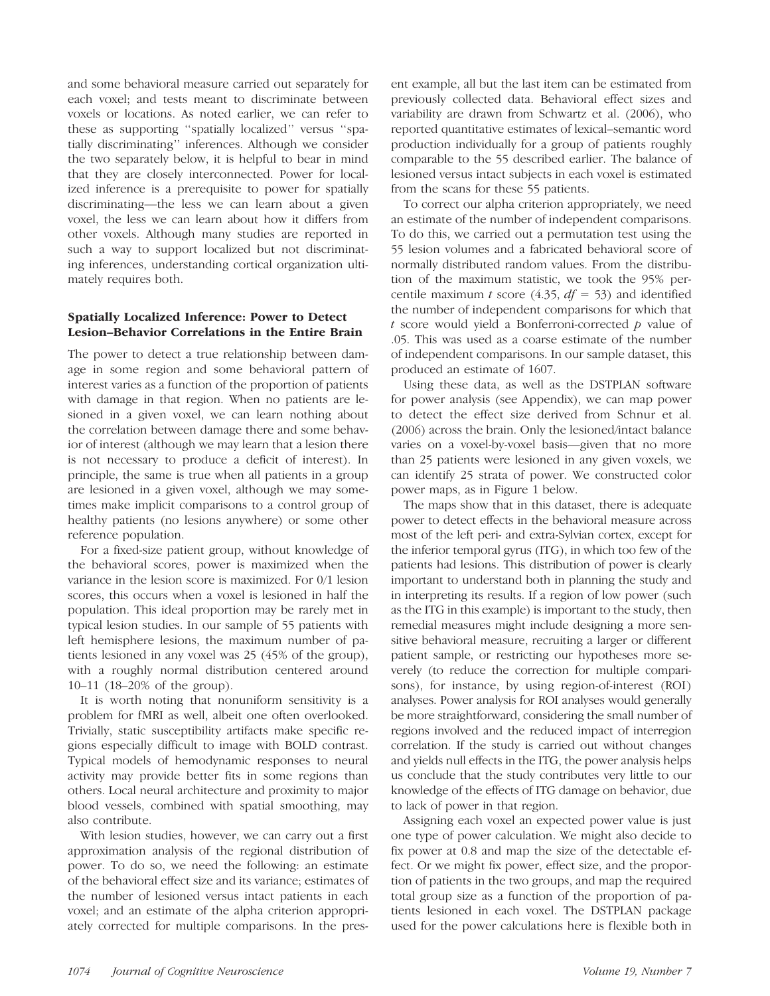and some behavioral measure carried out separately for each voxel; and tests meant to discriminate between voxels or locations. As noted earlier, we can refer to these as supporting ''spatially localized'' versus ''spatially discriminating'' inferences. Although we consider the two separately below, it is helpful to bear in mind that they are closely interconnected. Power for localized inference is a prerequisite to power for spatially discriminating—the less we can learn about a given voxel, the less we can learn about how it differs from other voxels. Although many studies are reported in such a way to support localized but not discriminating inferences, understanding cortical organization ultimately requires both.

## Spatially Localized Inference: Power to Detect Lesion–Behavior Correlations in the Entire Brain

The power to detect a true relationship between damage in some region and some behavioral pattern of interest varies as a function of the proportion of patients with damage in that region. When no patients are lesioned in a given voxel, we can learn nothing about the correlation between damage there and some behavior of interest (although we may learn that a lesion there is not necessary to produce a deficit of interest). In principle, the same is true when all patients in a group are lesioned in a given voxel, although we may sometimes make implicit comparisons to a control group of healthy patients (no lesions anywhere) or some other reference population.

For a fixed-size patient group, without knowledge of the behavioral scores, power is maximized when the variance in the lesion score is maximized. For 0/1 lesion scores, this occurs when a voxel is lesioned in half the population. This ideal proportion may be rarely met in typical lesion studies. In our sample of 55 patients with left hemisphere lesions, the maximum number of patients lesioned in any voxel was 25 (45% of the group), with a roughly normal distribution centered around 10–11 (18–20% of the group).

It is worth noting that nonuniform sensitivity is a problem for fMRI as well, albeit one often overlooked. Trivially, static susceptibility artifacts make specific regions especially difficult to image with BOLD contrast. Typical models of hemodynamic responses to neural activity may provide better fits in some regions than others. Local neural architecture and proximity to major blood vessels, combined with spatial smoothing, may also contribute.

With lesion studies, however, we can carry out a first approximation analysis of the regional distribution of power. To do so, we need the following: an estimate of the behavioral effect size and its variance; estimates of the number of lesioned versus intact patients in each voxel; and an estimate of the alpha criterion appropriately corrected for multiple comparisons. In the pres-

ent example, all but the last item can be estimated from previously collected data. Behavioral effect sizes and variability are drawn from Schwartz et al. (2006), who reported quantitative estimates of lexical–semantic word production individually for a group of patients roughly comparable to the 55 described earlier. The balance of lesioned versus intact subjects in each voxel is estimated from the scans for these 55 patients.

To correct our alpha criterion appropriately, we need an estimate of the number of independent comparisons. To do this, we carried out a permutation test using the 55 lesion volumes and a fabricated behavioral score of normally distributed random values. From the distribution of the maximum statistic, we took the 95% percentile maximum t score (4.35,  $df = 53$ ) and identified the number of independent comparisons for which that  $t$  score would yield a Bonferroni-corrected  $p$  value of .05. This was used as a coarse estimate of the number of independent comparisons. In our sample dataset, this produced an estimate of 1607.

Using these data, as well as the DSTPLAN software for power analysis (see Appendix), we can map power to detect the effect size derived from Schnur et al. (2006) across the brain. Only the lesioned/intact balance varies on a voxel-by-voxel basis—given that no more than 25 patients were lesioned in any given voxels, we can identify 25 strata of power. We constructed color power maps, as in Figure 1 below.

The maps show that in this dataset, there is adequate power to detect effects in the behavioral measure across most of the left peri- and extra-Sylvian cortex, except for the inferior temporal gyrus (ITG), in which too few of the patients had lesions. This distribution of power is clearly important to understand both in planning the study and in interpreting its results. If a region of low power (such as the ITG in this example) is important to the study, then remedial measures might include designing a more sensitive behavioral measure, recruiting a larger or different patient sample, or restricting our hypotheses more severely (to reduce the correction for multiple comparisons), for instance, by using region-of-interest (ROI) analyses. Power analysis for ROI analyses would generally be more straightforward, considering the small number of regions involved and the reduced impact of interregion correlation. If the study is carried out without changes and yields null effects in the ITG, the power analysis helps us conclude that the study contributes very little to our knowledge of the effects of ITG damage on behavior, due to lack of power in that region.

Assigning each voxel an expected power value is just one type of power calculation. We might also decide to fix power at 0.8 and map the size of the detectable effect. Or we might fix power, effect size, and the proportion of patients in the two groups, and map the required total group size as a function of the proportion of patients lesioned in each voxel. The DSTPLAN package used for the power calculations here is flexible both in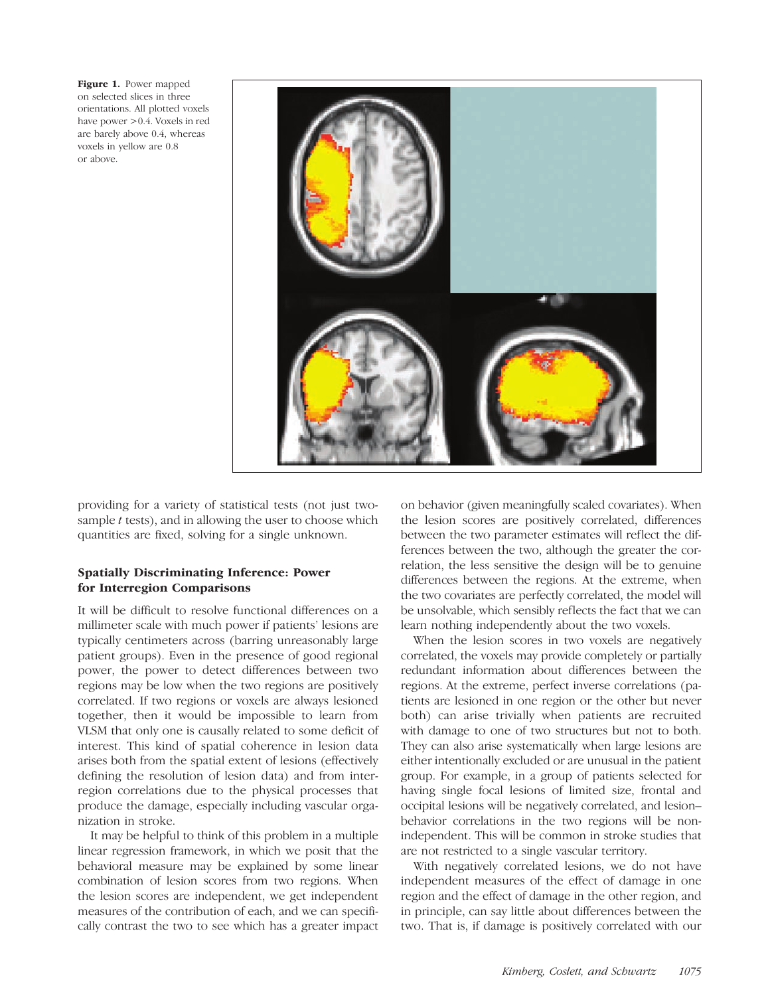Figure 1. Power mapped on selected slices in three orientations. All plotted voxels have power >0.4. Voxels in red are barely above 0.4, whereas voxels in yellow are 0.8 or above.



providing for a variety of statistical tests (not just twosample *t* tests), and in allowing the user to choose which quantities are fixed, solving for a single unknown.

## Spatially Discriminating Inference: Power for Interregion Comparisons

It will be difficult to resolve functional differences on a millimeter scale with much power if patients' lesions are typically centimeters across (barring unreasonably large patient groups). Even in the presence of good regional power, the power to detect differences between two regions may be low when the two regions are positively correlated. If two regions or voxels are always lesioned together, then it would be impossible to learn from VLSM that only one is causally related to some deficit of interest. This kind of spatial coherence in lesion data arises both from the spatial extent of lesions (effectively defining the resolution of lesion data) and from interregion correlations due to the physical processes that produce the damage, especially including vascular organization in stroke.

It may be helpful to think of this problem in a multiple linear regression framework, in which we posit that the behavioral measure may be explained by some linear combination of lesion scores from two regions. When the lesion scores are independent, we get independent measures of the contribution of each, and we can specifically contrast the two to see which has a greater impact on behavior (given meaningfully scaled covariates). When the lesion scores are positively correlated, differences between the two parameter estimates will reflect the differences between the two, although the greater the correlation, the less sensitive the design will be to genuine differences between the regions. At the extreme, when the two covariates are perfectly correlated, the model will be unsolvable, which sensibly reflects the fact that we can learn nothing independently about the two voxels.

When the lesion scores in two voxels are negatively correlated, the voxels may provide completely or partially redundant information about differences between the regions. At the extreme, perfect inverse correlations (patients are lesioned in one region or the other but never both) can arise trivially when patients are recruited with damage to one of two structures but not to both. They can also arise systematically when large lesions are either intentionally excluded or are unusual in the patient group. For example, in a group of patients selected for having single focal lesions of limited size, frontal and occipital lesions will be negatively correlated, and lesion– behavior correlations in the two regions will be nonindependent. This will be common in stroke studies that are not restricted to a single vascular territory.

With negatively correlated lesions, we do not have independent measures of the effect of damage in one region and the effect of damage in the other region, and in principle, can say little about differences between the two. That is, if damage is positively correlated with our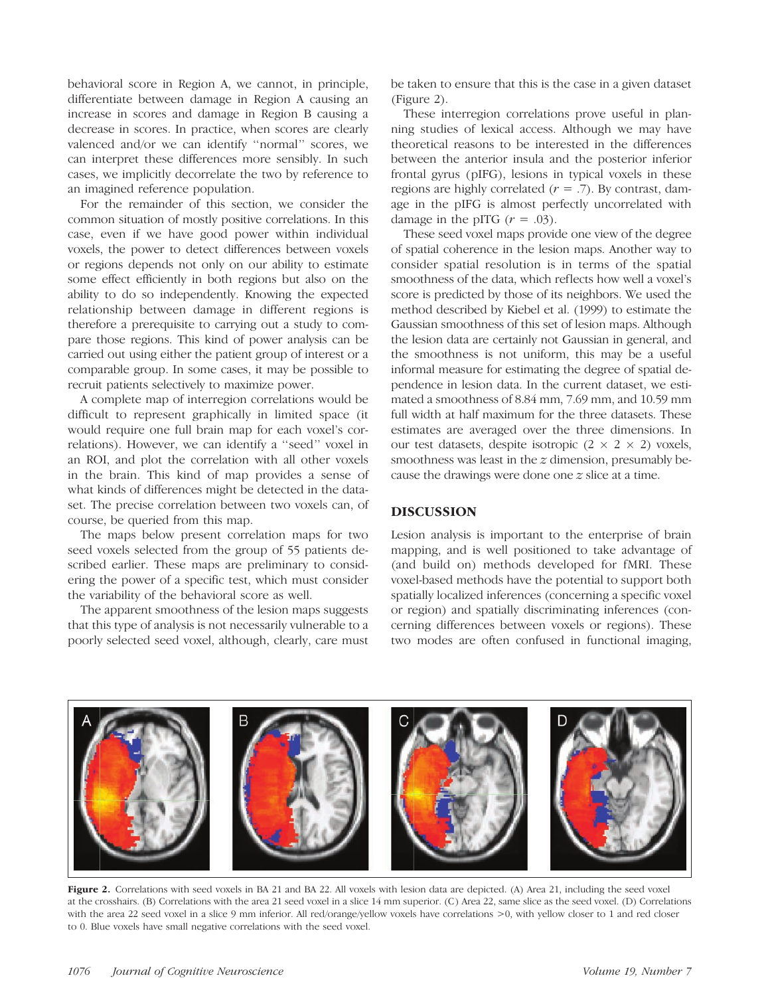behavioral score in Region A, we cannot, in principle, differentiate between damage in Region A causing an increase in scores and damage in Region B causing a decrease in scores. In practice, when scores are clearly valenced and/or we can identify ''normal'' scores, we can interpret these differences more sensibly. In such cases, we implicitly decorrelate the two by reference to an imagined reference population.

For the remainder of this section, we consider the common situation of mostly positive correlations. In this case, even if we have good power within individual voxels, the power to detect differences between voxels or regions depends not only on our ability to estimate some effect efficiently in both regions but also on the ability to do so independently. Knowing the expected relationship between damage in different regions is therefore a prerequisite to carrying out a study to compare those regions. This kind of power analysis can be carried out using either the patient group of interest or a comparable group. In some cases, it may be possible to recruit patients selectively to maximize power.

A complete map of interregion correlations would be difficult to represent graphically in limited space (it would require one full brain map for each voxel's correlations). However, we can identify a ''seed'' voxel in an ROI, and plot the correlation with all other voxels in the brain. This kind of map provides a sense of what kinds of differences might be detected in the dataset. The precise correlation between two voxels can, of course, be queried from this map.

The maps below present correlation maps for two seed voxels selected from the group of 55 patients described earlier. These maps are preliminary to considering the power of a specific test, which must consider the variability of the behavioral score as well.

The apparent smoothness of the lesion maps suggests that this type of analysis is not necessarily vulnerable to a poorly selected seed voxel, although, clearly, care must be taken to ensure that this is the case in a given dataset (Figure 2).

These interregion correlations prove useful in planning studies of lexical access. Although we may have theoretical reasons to be interested in the differences between the anterior insula and the posterior inferior frontal gyrus (pIFG), lesions in typical voxels in these regions are highly correlated  $(r = .7)$ . By contrast, damage in the pIFG is almost perfectly uncorrelated with damage in the pITG  $(r = .03)$ .

These seed voxel maps provide one view of the degree of spatial coherence in the lesion maps. Another way to consider spatial resolution is in terms of the spatial smoothness of the data, which reflects how well a voxel's score is predicted by those of its neighbors. We used the method described by Kiebel et al. (1999) to estimate the Gaussian smoothness of this set of lesion maps. Although the lesion data are certainly not Gaussian in general, and the smoothness is not uniform, this may be a useful informal measure for estimating the degree of spatial dependence in lesion data. In the current dataset, we estimated a smoothness of 8.84 mm, 7.69 mm, and 10.59 mm full width at half maximum for the three datasets. These estimates are averaged over the three dimensions. In our test datasets, despite isotropic  $(2 \times 2 \times 2)$  voxels, smoothness was least in the  $z$  dimension, presumably because the drawings were done one z slice at a time.

## DISCUSSION

Lesion analysis is important to the enterprise of brain mapping, and is well positioned to take advantage of (and build on) methods developed for fMRI. These voxel-based methods have the potential to support both spatially localized inferences (concerning a specific voxel or region) and spatially discriminating inferences (concerning differences between voxels or regions). These two modes are often confused in functional imaging,



Figure 2. Correlations with seed voxels in BA 21 and BA 22. All voxels with lesion data are depicted. (A) Area 21, including the seed voxel at the crosshairs. (B) Correlations with the area 21 seed voxel in a slice 14 mm superior. (C) Area 22, same slice as the seed voxel. (D) Correlations with the area 22 seed voxel in a slice 9 mm inferior. All red/orange/yellow voxels have correlations >0, with yellow closer to 1 and red closer to 0. Blue voxels have small negative correlations with the seed voxel.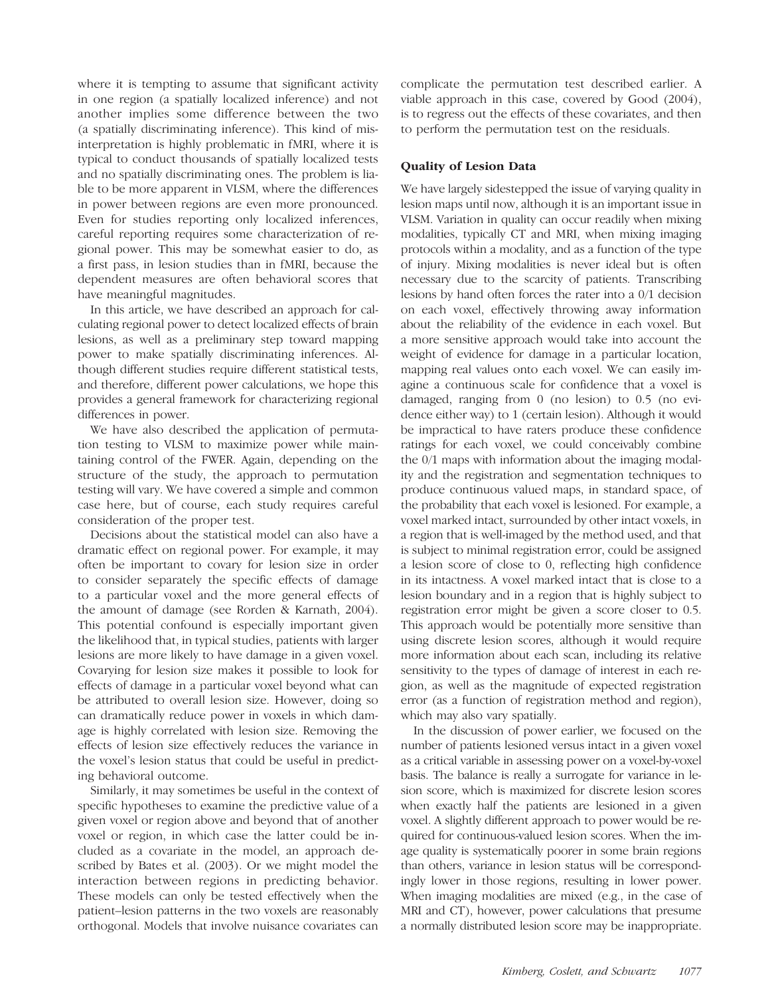where it is tempting to assume that significant activity in one region (a spatially localized inference) and not another implies some difference between the two (a spatially discriminating inference). This kind of misinterpretation is highly problematic in fMRI, where it is typical to conduct thousands of spatially localized tests and no spatially discriminating ones. The problem is liable to be more apparent in VLSM, where the differences in power between regions are even more pronounced. Even for studies reporting only localized inferences, careful reporting requires some characterization of regional power. This may be somewhat easier to do, as a first pass, in lesion studies than in fMRI, because the dependent measures are often behavioral scores that have meaningful magnitudes.

In this article, we have described an approach for calculating regional power to detect localized effects of brain lesions, as well as a preliminary step toward mapping power to make spatially discriminating inferences. Although different studies require different statistical tests, and therefore, different power calculations, we hope this provides a general framework for characterizing regional differences in power.

We have also described the application of permutation testing to VLSM to maximize power while maintaining control of the FWER. Again, depending on the structure of the study, the approach to permutation testing will vary. We have covered a simple and common case here, but of course, each study requires careful consideration of the proper test.

Decisions about the statistical model can also have a dramatic effect on regional power. For example, it may often be important to covary for lesion size in order to consider separately the specific effects of damage to a particular voxel and the more general effects of the amount of damage (see Rorden & Karnath, 2004). This potential confound is especially important given the likelihood that, in typical studies, patients with larger lesions are more likely to have damage in a given voxel. Covarying for lesion size makes it possible to look for effects of damage in a particular voxel beyond what can be attributed to overall lesion size. However, doing so can dramatically reduce power in voxels in which damage is highly correlated with lesion size. Removing the effects of lesion size effectively reduces the variance in the voxel's lesion status that could be useful in predicting behavioral outcome.

Similarly, it may sometimes be useful in the context of specific hypotheses to examine the predictive value of a given voxel or region above and beyond that of another voxel or region, in which case the latter could be included as a covariate in the model, an approach described by Bates et al. (2003). Or we might model the interaction between regions in predicting behavior. These models can only be tested effectively when the patient–lesion patterns in the two voxels are reasonably orthogonal. Models that involve nuisance covariates can

complicate the permutation test described earlier. A viable approach in this case, covered by Good (2004), is to regress out the effects of these covariates, and then to perform the permutation test on the residuals.

## Quality of Lesion Data

We have largely sidestepped the issue of varying quality in lesion maps until now, although it is an important issue in VLSM. Variation in quality can occur readily when mixing modalities, typically CT and MRI, when mixing imaging protocols within a modality, and as a function of the type of injury. Mixing modalities is never ideal but is often necessary due to the scarcity of patients. Transcribing lesions by hand often forces the rater into a 0/1 decision on each voxel, effectively throwing away information about the reliability of the evidence in each voxel. But a more sensitive approach would take into account the weight of evidence for damage in a particular location, mapping real values onto each voxel. We can easily imagine a continuous scale for confidence that a voxel is damaged, ranging from 0 (no lesion) to 0.5 (no evidence either way) to 1 (certain lesion). Although it would be impractical to have raters produce these confidence ratings for each voxel, we could conceivably combine the 0/1 maps with information about the imaging modality and the registration and segmentation techniques to produce continuous valued maps, in standard space, of the probability that each voxel is lesioned. For example, a voxel marked intact, surrounded by other intact voxels, in a region that is well-imaged by the method used, and that is subject to minimal registration error, could be assigned a lesion score of close to 0, reflecting high confidence in its intactness. A voxel marked intact that is close to a lesion boundary and in a region that is highly subject to registration error might be given a score closer to 0.5. This approach would be potentially more sensitive than using discrete lesion scores, although it would require more information about each scan, including its relative sensitivity to the types of damage of interest in each region, as well as the magnitude of expected registration error (as a function of registration method and region), which may also vary spatially.

In the discussion of power earlier, we focused on the number of patients lesioned versus intact in a given voxel as a critical variable in assessing power on a voxel-by-voxel basis. The balance is really a surrogate for variance in lesion score, which is maximized for discrete lesion scores when exactly half the patients are lesioned in a given voxel. A slightly different approach to power would be required for continuous-valued lesion scores. When the image quality is systematically poorer in some brain regions than others, variance in lesion status will be correspondingly lower in those regions, resulting in lower power. When imaging modalities are mixed (e.g., in the case of MRI and CT), however, power calculations that presume a normally distributed lesion score may be inappropriate.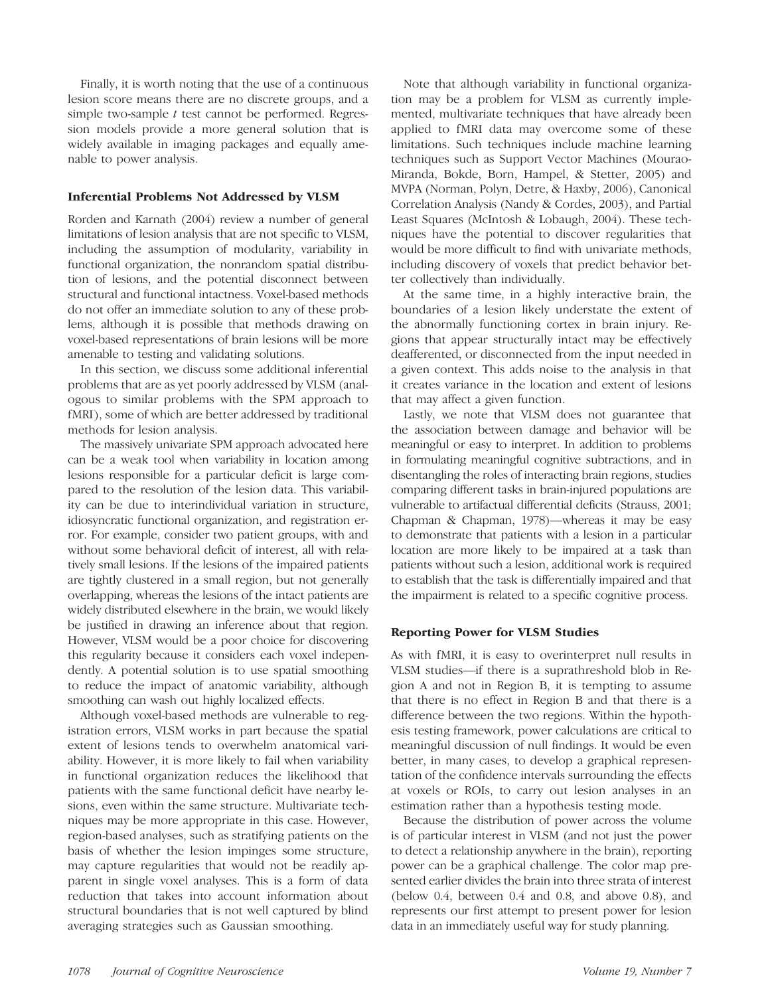Finally, it is worth noting that the use of a continuous lesion score means there are no discrete groups, and a simple two-sample  $t$  test cannot be performed. Regression models provide a more general solution that is widely available in imaging packages and equally amenable to power analysis.

## Inferential Problems Not Addressed by VLSM

Rorden and Karnath (2004) review a number of general limitations of lesion analysis that are not specific to VLSM, including the assumption of modularity, variability in functional organization, the nonrandom spatial distribution of lesions, and the potential disconnect between structural and functional intactness. Voxel-based methods do not offer an immediate solution to any of these problems, although it is possible that methods drawing on voxel-based representations of brain lesions will be more amenable to testing and validating solutions.

In this section, we discuss some additional inferential problems that are as yet poorly addressed by VLSM (analogous to similar problems with the SPM approach to fMRI), some of which are better addressed by traditional methods for lesion analysis.

The massively univariate SPM approach advocated here can be a weak tool when variability in location among lesions responsible for a particular deficit is large compared to the resolution of the lesion data. This variability can be due to interindividual variation in structure, idiosyncratic functional organization, and registration error. For example, consider two patient groups, with and without some behavioral deficit of interest, all with relatively small lesions. If the lesions of the impaired patients are tightly clustered in a small region, but not generally overlapping, whereas the lesions of the intact patients are widely distributed elsewhere in the brain, we would likely be justified in drawing an inference about that region. However, VLSM would be a poor choice for discovering this regularity because it considers each voxel independently. A potential solution is to use spatial smoothing to reduce the impact of anatomic variability, although smoothing can wash out highly localized effects.

Although voxel-based methods are vulnerable to registration errors, VLSM works in part because the spatial extent of lesions tends to overwhelm anatomical variability. However, it is more likely to fail when variability in functional organization reduces the likelihood that patients with the same functional deficit have nearby lesions, even within the same structure. Multivariate techniques may be more appropriate in this case. However, region-based analyses, such as stratifying patients on the basis of whether the lesion impinges some structure, may capture regularities that would not be readily apparent in single voxel analyses. This is a form of data reduction that takes into account information about structural boundaries that is not well captured by blind averaging strategies such as Gaussian smoothing.

Note that although variability in functional organization may be a problem for VLSM as currently implemented, multivariate techniques that have already been applied to fMRI data may overcome some of these limitations. Such techniques include machine learning techniques such as Support Vector Machines (Mourao-Miranda, Bokde, Born, Hampel, & Stetter, 2005) and MVPA (Norman, Polyn, Detre, & Haxby, 2006), Canonical Correlation Analysis (Nandy & Cordes, 2003), and Partial Least Squares (McIntosh & Lobaugh, 2004). These techniques have the potential to discover regularities that would be more difficult to find with univariate methods, including discovery of voxels that predict behavior better collectively than individually.

At the same time, in a highly interactive brain, the boundaries of a lesion likely understate the extent of the abnormally functioning cortex in brain injury. Regions that appear structurally intact may be effectively deafferented, or disconnected from the input needed in a given context. This adds noise to the analysis in that it creates variance in the location and extent of lesions that may affect a given function.

Lastly, we note that VLSM does not guarantee that the association between damage and behavior will be meaningful or easy to interpret. In addition to problems in formulating meaningful cognitive subtractions, and in disentangling the roles of interacting brain regions, studies comparing different tasks in brain-injured populations are vulnerable to artifactual differential deficits (Strauss, 2001; Chapman & Chapman, 1978)—whereas it may be easy to demonstrate that patients with a lesion in a particular location are more likely to be impaired at a task than patients without such a lesion, additional work is required to establish that the task is differentially impaired and that the impairment is related to a specific cognitive process.

## Reporting Power for VLSM Studies

As with fMRI, it is easy to overinterpret null results in VLSM studies—if there is a suprathreshold blob in Region A and not in Region B, it is tempting to assume that there is no effect in Region B and that there is a difference between the two regions. Within the hypothesis testing framework, power calculations are critical to meaningful discussion of null findings. It would be even better, in many cases, to develop a graphical representation of the confidence intervals surrounding the effects at voxels or ROIs, to carry out lesion analyses in an estimation rather than a hypothesis testing mode.

Because the distribution of power across the volume is of particular interest in VLSM (and not just the power to detect a relationship anywhere in the brain), reporting power can be a graphical challenge. The color map presented earlier divides the brain into three strata of interest (below 0.4, between 0.4 and 0.8, and above 0.8), and represents our first attempt to present power for lesion data in an immediately useful way for study planning.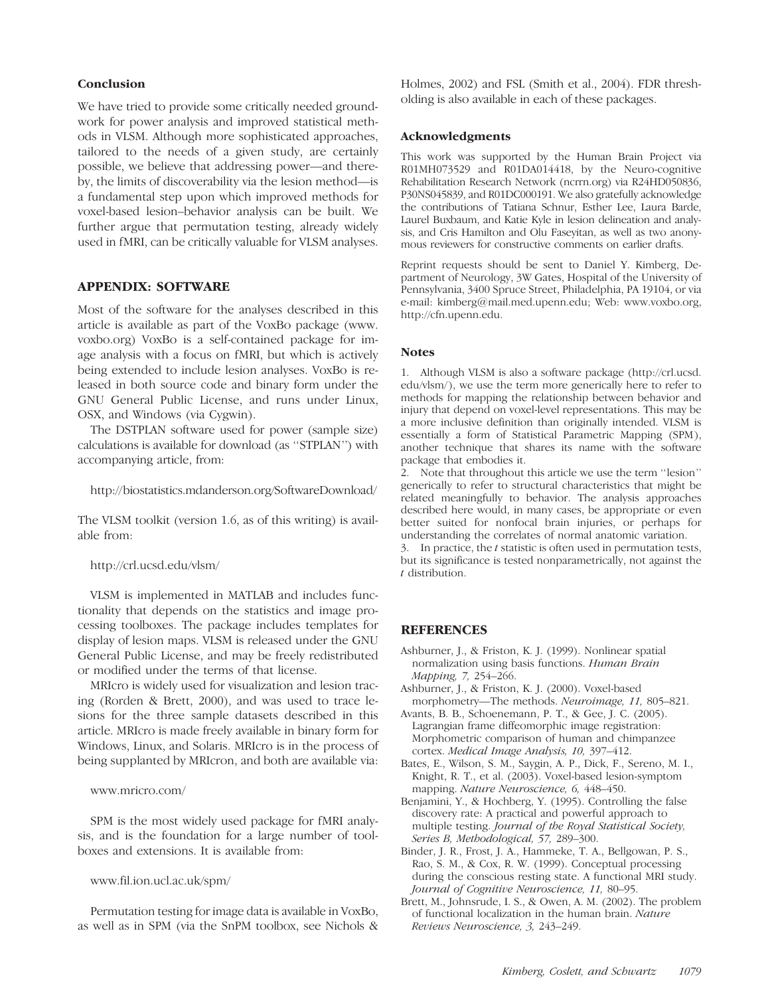## Conclusion

We have tried to provide some critically needed groundwork for power analysis and improved statistical methods in VLSM. Although more sophisticated approaches, tailored to the needs of a given study, are certainly possible, we believe that addressing power—and thereby, the limits of discoverability via the lesion method—is a fundamental step upon which improved methods for voxel-based lesion–behavior analysis can be built. We further argue that permutation testing, already widely used in fMRI, can be critically valuable for VLSM analyses.

## APPENDIX: SOFTWARE

Most of the software for the analyses described in this article is available as part of the VoxBo package (www. voxbo.org) VoxBo is a self-contained package for image analysis with a focus on fMRI, but which is actively being extended to include lesion analyses. VoxBo is released in both source code and binary form under the GNU General Public License, and runs under Linux, OSX, and Windows (via Cygwin).

The DSTPLAN software used for power (sample size) calculations is available for download (as ''STPLAN'') with accompanying article, from:

http://biostatistics.mdanderson.org/SoftwareDownload/

The VLSM toolkit (version 1.6, as of this writing) is available from:

#### http://crl.ucsd.edu/vlsm/

VLSM is implemented in MATLAB and includes functionality that depends on the statistics and image processing toolboxes. The package includes templates for display of lesion maps. VLSM is released under the GNU General Public License, and may be freely redistributed or modified under the terms of that license.

MRIcro is widely used for visualization and lesion tracing (Rorden & Brett, 2000), and was used to trace lesions for the three sample datasets described in this article. MRIcro is made freely available in binary form for Windows, Linux, and Solaris. MRIcro is in the process of being supplanted by MRIcron, and both are available via:

www.mricro.com/

SPM is the most widely used package for fMRI analysis, and is the foundation for a large number of toolboxes and extensions. It is available from:

www.fil.ion.ucl.ac.uk/spm/

Permutation testing for image data is available in VoxBo, as well as in SPM (via the SnPM toolbox, see Nichols &

Holmes, 2002) and FSL (Smith et al., 2004). FDR thresholding is also available in each of these packages.

#### Acknowledgments

This work was supported by the Human Brain Project via R01MH073529 and R01DA014418, by the Neuro-cognitive Rehabilitation Research Network (ncrrn.org) via R24HD050836, P30NS045839, and R01DC000191. We also gratefully acknowledge the contributions of Tatiana Schnur, Esther Lee, Laura Barde, Laurel Buxbaum, and Katie Kyle in lesion delineation and analysis, and Cris Hamilton and Olu Faseyitan, as well as two anonymous reviewers for constructive comments on earlier drafts.

Reprint requests should be sent to Daniel Y. Kimberg, Department of Neurology, 3W Gates, Hospital of the University of Pennsylvania, 3400 Spruce Street, Philadelphia, PA 19104, or via e-mail: kimberg@mail.med.upenn.edu; Web: www.voxbo.org, http://cfn.upenn.edu.

#### **Notes**

1. Although VLSM is also a software package (http://crl.ucsd. edu/vlsm/), we use the term more generically here to refer to methods for mapping the relationship between behavior and injury that depend on voxel-level representations. This may be a more inclusive definition than originally intended. VLSM is essentially a form of Statistical Parametric Mapping (SPM), another technique that shares its name with the software package that embodies it.

2. Note that throughout this article we use the term ''lesion'' generically to refer to structural characteristics that might be related meaningfully to behavior. The analysis approaches described here would, in many cases, be appropriate or even better suited for nonfocal brain injuries, or perhaps for understanding the correlates of normal anatomic variation.

3. In practice, the t statistic is often used in permutation tests, but its significance is tested nonparametrically, not against the t distribution.

#### REFERENCES

- Ashburner, J., & Friston, K. J. (1999). Nonlinear spatial normalization using basis functions. Human Brain Mapping, 7, 254–266.
- Ashburner, J., & Friston, K. J. (2000). Voxel-based morphometry—The methods. Neuroimage, 11, 805–821.
- Avants, B. B., Schoenemann, P. T., & Gee, J. C. (2005). Lagrangian frame diffeomorphic image registration: Morphometric comparison of human and chimpanzee cortex. Medical Image Analysis, 10, 397–412.
- Bates, E., Wilson, S. M., Saygin, A. P., Dick, F., Sereno, M. I., Knight, R. T., et al. (2003). Voxel-based lesion-symptom mapping. Nature Neuroscience, 6, 448–450.
- Benjamini, Y., & Hochberg, Y. (1995). Controlling the false discovery rate: A practical and powerful approach to multiple testing. Journal of the Royal Statistical Society, Series B, Methodological, 57, 289–300.
- Binder, J. R., Frost, J. A., Hammeke, T. A., Bellgowan, P. S., Rao, S. M., & Cox, R. W. (1999). Conceptual processing during the conscious resting state. A functional MRI study. Journal of Cognitive Neuroscience, 11, 80–95.
- Brett, M., Johnsrude, I. S., & Owen, A. M. (2002). The problem of functional localization in the human brain. Nature Reviews Neuroscience, 3, 243–249.